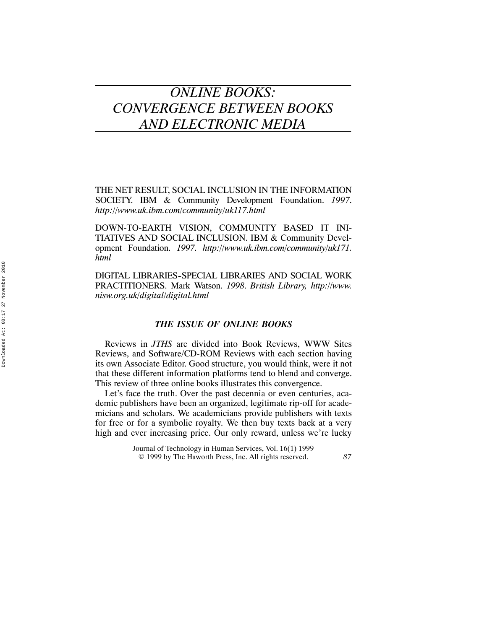# *ONLINE BOOKS: CONVERGENCE BETWEEN BOOKS AND ELECTRONIC MEDIA*

THE NET RESULT, SOCIAL INCLUSION IN THE INFORMATION SOCIETY. IBM & Community Development Foundation. *1997*. *http://www.uk.ibm.com/community/uk117.html*

DOWN-TO-EARTH VISION, COMMUNITY BASED IT INI-TIATIVES AND SOCIAL INCLUSION. IBM & Community Development Foundation. *1997*. *http://www.uk.ibm.com/community/uk171. html*

DIGITAL LIBRARIES-SPECIAL LIBRARIES AND SOCIAL WORK PRACTITIONERS. Mark Watson. *1998*. *British Library, http://www. nisw.org.uk/digital/digital.html*

# *THE ISSUE OF ONLINE BOOKS*

Reviews in *JTHS* are divided into Book Reviews, WWW Sites Reviews, and Software/CD-ROM Reviews with each section having its own Associate Editor. Good structure, you would think, were it not that these different information platforms tend to blend and converge. This review of three online books illustrates this convergence.

Let's face the truth. Over the past decennia or even centuries, academic publishers have been an organized, legitimate rip-off for academicians and scholars. We academicians provide publishers with texts for free or for a symbolic royalty. We then buy texts back at a very high and ever increasing price. Our only reward, unless we're lucky

> Journal of Technology in Human Services, Vol. 16(1) 1999 E 1999 by The Haworth Press, Inc. All rights reserved. *87*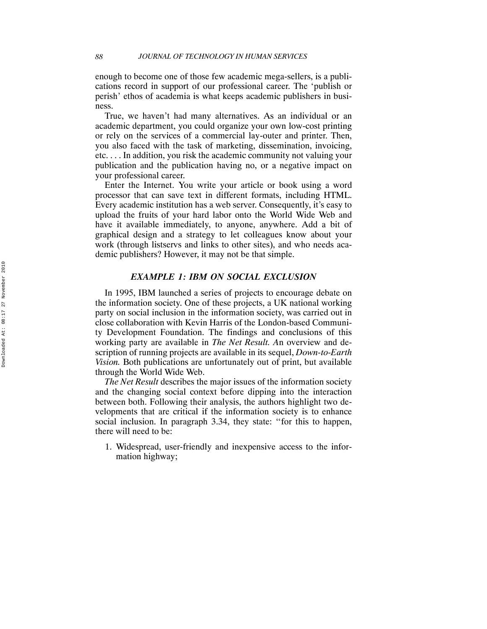enough to become one of those few academic mega-sellers, is a publications record in support of our professional career. The 'publish or perish' ethos of academia is what keeps academic publishers in business.

True, we haven't had many alternatives. As an individual or an academic department, you could organize your own low-cost printing or rely on the services of a commercial lay-outer and printer. Then, you also faced with the task of marketing, dissemination, invoicing, etc. . . . In addition, you risk the academic community not valuing your publication and the publication having no, or a negative impact on your professional career.

Enter the Internet. You write your article or book using a word processor that can save text in different formats, including HTML. Every academic institution has a web server. Consequently, it's easy to upload the fruits of your hard labor onto the World Wide Web and have it available immediately, to anyone, anywhere. Add a bit of graphical design and a strategy to let colleagues know about your work (through listservs and links to other sites), and who needs academic publishers? However, it may not be that simple.

## *EXAMPLE 1: IBM ON SOCIAL EXCLUSION*

In 1995, IBM launched a series of projects to encourage debate on the information society. One of these projects, a UK national working party on social inclusion in the information society, was carried out in close collaboration with Kevin Harris of the London-based Community Development Foundation. The findings and conclusions of this working party are available in *The Net Result. A*n overview and description of running projects are available in its sequel, *Down-to-Earth Vision.* Both publications are unfortunately out of print, but available through the World Wide Web.

*The Net Result* describes the major issues of the information society and the changing social context before dipping into the interaction between both. Following their analysis, the authors highlight two developments that are critical if the information society is to enhance social inclusion. In paragraph 3.34, they state: ''for this to happen, there will need to be:

1. Widespread, user-friendly and inexpensive access to the information highway;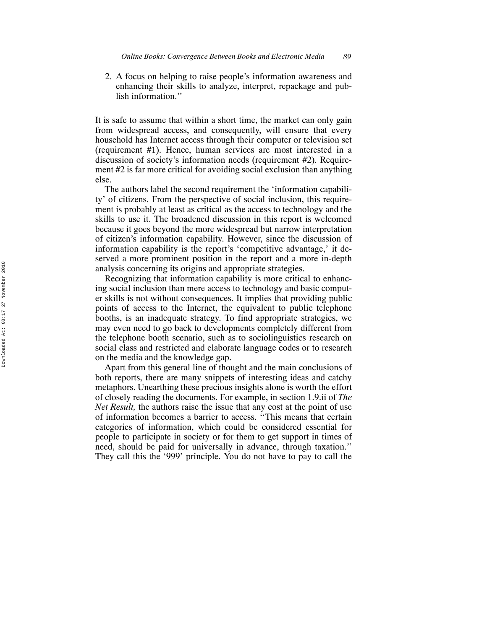2. A focus on helping to raise people's information awareness and enhancing their skills to analyze, interpret, repackage and publish information.''

It is safe to assume that within a short time, the market can only gain from widespread access, and consequently, will ensure that every household has Internet access through their computer or television set (requirement #1). Hence, human services are most interested in a discussion of society's information needs (requirement #2). Requirement #2 is far more critical for avoiding social exclusion than anything else.

The authors label the second requirement the 'information capability' of citizens. From the perspective of social inclusion, this requirement is probably at least as critical as the access to technology and the skills to use it. The broadened discussion in this report is welcomed because it goes beyond the more widespread but narrow interpretation of citizen's information capability. However, since the discussion of information capability is the report's 'competitive advantage,' it deserved a more prominent position in the report and a more in-depth analysis concerning its origins and appropriate strategies.

Recognizing that information capability is more critical to enhancing social inclusion than mere access to technology and basic computer skills is not without consequences. It implies that providing public points of access to the Internet, the equivalent to public telephone booths, is an inadequate strategy. To find appropriate strategies, we may even need to go back to developments completely different from the telephone booth scenario, such as to sociolinguistics research on social class and restricted and elaborate language codes or to research on the media and the knowledge gap.

Apart from this general line of thought and the main conclusions of both reports, there are many snippets of interesting ideas and catchy metaphors. Unearthing these precious insights alone is worth the effort of closely reading the documents. For example, in section 1.9.ii of *The Net Result,* the authors raise the issue that any cost at the point of use of information becomes a barrier to access. ''This means that certain categories of information, which could be considered essential for people to participate in society or for them to get support in times of need, should be paid for universally in advance, through taxation.'' They call this the '999' principle. You do not have to pay to call the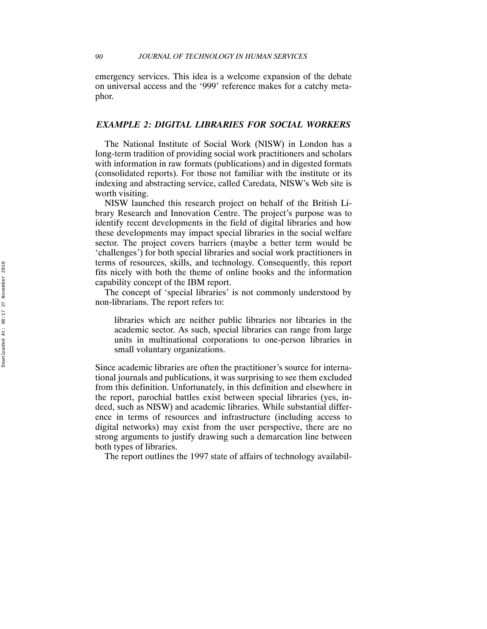emergency services. This idea is a welcome expansion of the debate on universal access and the '999' reference makes for a catchy metaphor.

## *EXAMPLE 2: DIGITAL LIBRARIES FOR SOCIAL WORKERS*

The National Institute of Social Work (NISW) in London has a long-term tradition of providing social work practitioners and scholars with information in raw formats (publications) and in digested formats (consolidated reports). For those not familiar with the institute or its indexing and abstracting service, called Caredata, NISW's Web site is worth visiting.

NISW launched this research project on behalf of the British Library Research and Innovation Centre. The project's purpose was to identify recent developments in the field of digital libraries and how these developments may impact special libraries in the social welfare sector. The project covers barriers (maybe a better term would be 'challenges') for both special libraries and social work practitioners in terms of resources, skills, and technology. Consequently, this report fits nicely with both the theme of online books and the information capability concept of the IBM report.

The concept of 'special libraries' is not commonly understood by non-librarians. The report refers to:

libraries which are neither public libraries nor libraries in the academic sector. As such, special libraries can range from large units in multinational corporations to one-person libraries in small voluntary organizations.

Since academic libraries are often the practitioner's source for international journals and publications, it was surprising to see them excluded from this definition. Unfortunately, in this definition and elsewhere in the report, parochial battles exist between special libraries (yes, indeed, such as NISW) and academic libraries. While substantial difference in terms of resources and infrastructure (including access to digital networks) may exist from the user perspective, there are no strong arguments to justify drawing such a demarcation line between both types of libraries.

The report outlines the 1997 state of affairs of technology availabil-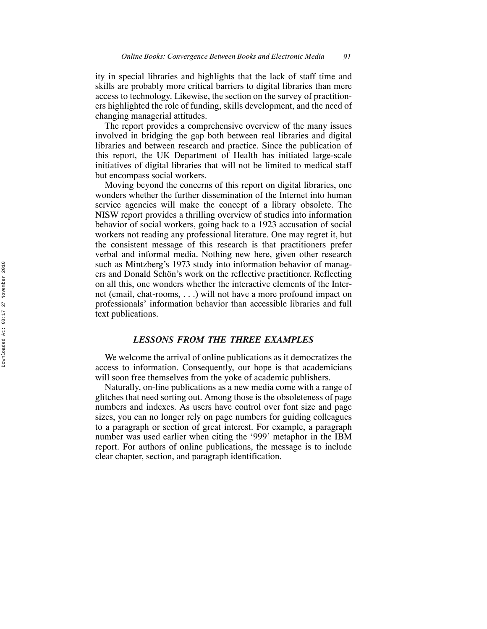ity in special libraries and highlights that the lack of staff time and skills are probably more critical barriers to digital libraries than mere access to technology. Likewise, the section on the survey of practitioners highlighted the role of funding, skills development, and the need of changing managerial attitudes.

The report provides a comprehensive overview of the many issues involved in bridging the gap both between real libraries and digital libraries and between research and practice. Since the publication of this report, the UK Department of Health has initiated large-scale initiatives of digital libraries that will not be limited to medical staff but encompass social workers.

Moving beyond the concerns of this report on digital libraries, one wonders whether the further dissemination of the Internet into human service agencies will make the concept of a library obsolete. The NISW report provides a thrilling overview of studies into information behavior of social workers, going back to a 1923 accusation of social workers not reading any professional literature. One may regret it, but the consistent message of this research is that practitioners prefer verbal and informal media. Nothing new here, given other research such as Mintzberg's 1973 study into information behavior of managers and Donald Schön's work on the reflective practitioner. Reflecting on all this, one wonders whether the interactive elements of the Internet (email, chat-rooms, . . .) will not have a more profound impact on professionals' information behavior than accessible libraries and full text publications.

#### *LESSONS FROM THE THREE EXAMPLES*

We welcome the arrival of online publications as it democratizes the access to information. Consequently, our hope is that academicians will soon free themselves from the yoke of academic publishers.

Naturally, on-line publications as a new media come with a range of glitches that need sorting out. Among those is the obsoleteness of page numbers and indexes. As users have control over font size and page sizes, you can no longer rely on page numbers for guiding colleagues to a paragraph or section of great interest. For example, a paragraph number was used earlier when citing the '999' metaphor in the IBM report. For authors of online publications, the message is to include clear chapter, section, and paragraph identification.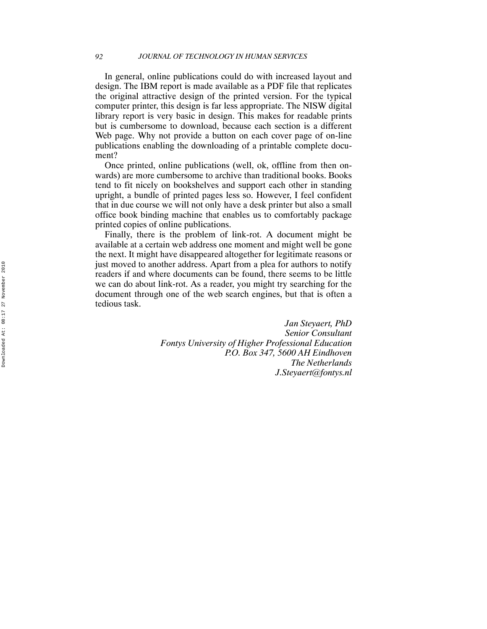In general, online publications could do with increased layout and design. The IBM report is made available as a PDF file that replicates the original attractive design of the printed version. For the typical computer printer, this design is far less appropriate. The NISW digital library report is very basic in design. This makes for readable prints but is cumbersome to download, because each section is a different Web page. Why not provide a button on each cover page of on-line publications enabling the downloading of a printable complete document?

Once printed, online publications (well, ok, offline from then onwards) are more cumbersome to archive than traditional books. Books tend to fit nicely on bookshelves and support each other in standing upright, a bundle of printed pages less so. However, I feel confident that in due course we will not only have a desk printer but also a small office book binding machine that enables us to comfortably package printed copies of online publications.

Finally, there is the problem of link-rot. A document might be available at a certain web address one moment and might well be gone the next. It might have disappeared altogether for legitimate reasons or just moved to another address. Apart from a plea for authors to notify readers if and where documents can be found, there seems to be little we can do about link-rot. As a reader, you might try searching for the document through one of the web search engines, but that is often a tedious task.

> *Jan Steyaert, PhD Senior Consultant Fontys University of Higher Professional Education P.O. Box 347, 5600 AH Eindhoven The Netherlands J.Steyaert@fontys.nl*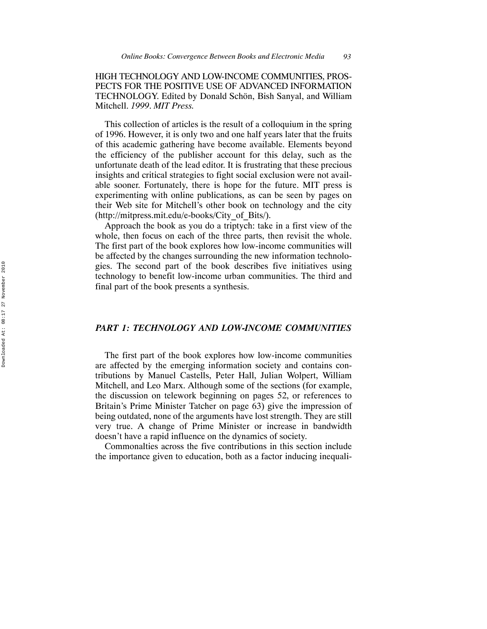HIGH TECHNOLOGY AND LOW-INCOME COMMUNITIES, PROS-PECTS FOR THE POSITIVE USE OF ADVANCED INFORMATION TECHNOLOGY. Edited by Donald Schön, Bish Sanyal, and William Mitchell. *1999* . *MIT Press.*

This collection of articles is the result of a colloquium in the spring of 1996. However, it is only two and one half years later that the fruits of this academic gathering have become available. Elements beyond the efficiency of the publisher account for this delay, such as the unfortunate death of the lead editor. It is frustrating that these precious insights and critical strategies to fight social exclusion were not available sooner. Fortunately, there is hope for the future. MIT press is experimenting with online publications, as can be seen by pages on their Web site for Mitchell's other book on technology and the city (http://mitpress.mit.edu/e-books/City\_of\_Bits/).

Approach the book as you do a triptych: take in a first view of the whole, then focus on each of the three parts, then revisit the whole. The first part of the book explores how low-income communities will be affected by the changes surrounding the new information technologies. The second part of the book describes five initiatives using technology to benefit low-income urban communities. The third and final part of the book presents a synthesis.

## *PART 1: TECHNOLOGY AND LOW-INCOME COMMUNITIES*

The first part of the book explores how low-income communities are affected by the emerging information society and contains contributions by Manuel Castells, Peter Hall, Julian Wolpert, William Mitchell, and Leo Marx. Although some of the sections (for example, the discussion on telework beginning on pages 52, or references to Britain's Prime Minister Tatcher on page 63) give the impression of being outdated, none of the arguments have lost strength. They are still very true. A change of Prime Minister or increase in bandwidth doesn't have a rapid influence on the dynamics of society.

Commonalties across the five contributions in this section include the importance given to education, both as a factor inducing inequali-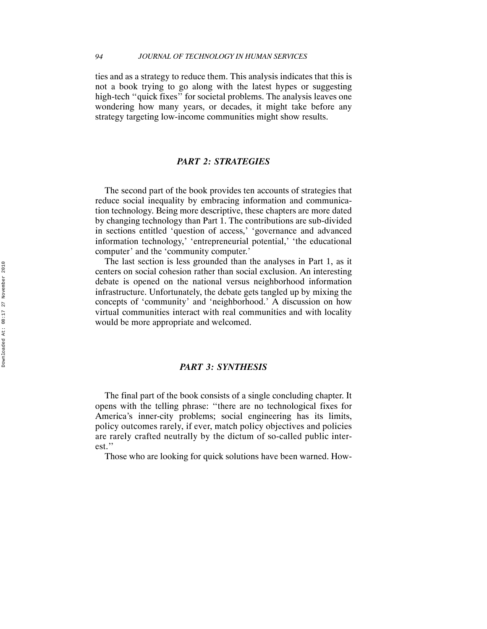#### *94 JOURNAL OF TECHNOLOGY IN HUMAN SERVICES*

ties and as a strategy to reduce them. This analysis indicates that this is not a book trying to go along with the latest hypes or suggesting high-tech "quick fixes" for societal problems. The analysis leaves one wondering how many years, or decades, it might take before any strategy targeting low-income communities might show results.

## *PART 2: STRATEGIES*

The second part of the book provides ten accounts of strategies that reduce social inequality by embracing information and communication technology. Being more descriptive, these chapters are more dated by changing technology than Part 1. The contributions are sub-divided in sections entitled 'question of access,' 'governance and advanced information technology,' 'entrepreneurial potential,' 'the educational computer' and the 'community computer.'

The last section is less grounded than the analyses in Part 1, as it centers on social cohesion rather than social exclusion. An interesting debate is opened on the national versus neighborhood information infrastructure. Unfortunately, the debate gets tangled up by mixing the concepts of 'community' and 'neighborhood.' A discussion on how virtual communities interact with real communities and with locality would be more appropriate and welcomed.

## *PART 3: SYNTHESIS*

The final part of the book consists of a single concluding chapter. It opens with the telling phrase: ''there are no technological fixes for America's inner-city problems; social engineering has its limits, policy outcomes rarely, if ever, match policy objectives and policies are rarely crafted neutrally by the dictum of so-called public interest.''

Those who are looking for quick solutions have been warned. How-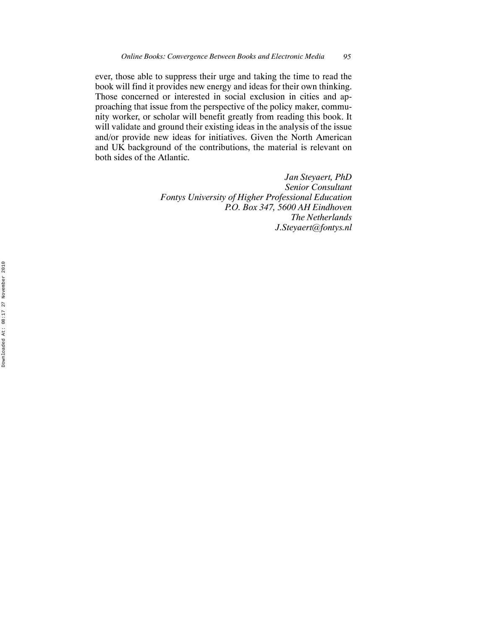ever, those able to suppress their urge and taking the time to read the book will find it provides new energy and ideas for their own thinking. Those concerned or interested in social exclusion in cities and approaching that issue from the perspective of the policy maker, community worker, or scholar will benefit greatly from reading this book. It will validate and ground their existing ideas in the analysis of the issue and/or provide new ideas for initiatives. Given the North American and UK background of the contributions, the material is relevant on both sides of the Atlantic.

> *Jan Steyaert, PhD Senior Consultant Fontys University of Higher Professional Education P.O. Box 347, 5600 AH Eindhoven The Netherlands J.Steyaert@fontys.nl*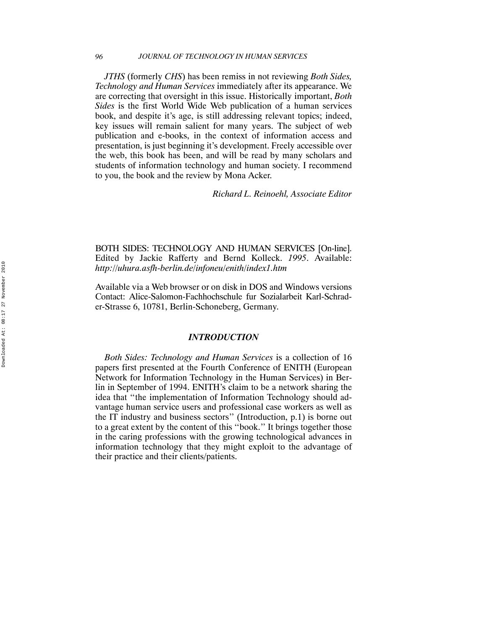*JTHS* (formerly *CHS*) has been remiss in not reviewing *Both Sides, Technology and Human Services* immediately after its appearance. We are correcting that oversight in this issue. Historically important, *Both Sides* is the first World Wide Web publication of a human services book, and despite it's age, is still addressing relevant topics; indeed, key issues will remain salient for many years. The subject of web publication and e-books, in the context of information access and presentation, is just beginning it's development. Freely accessible over the web, this book has been, and will be read by many scholars and students of information technology and human society. I recommend to you, the book and the review by Mona Acker.

*Richard L. Reinoehl, Associate Editor*

BOTH SIDES: TECHNOLOGY AND HUMAN SERVICES [On-line]. Edited by Jackie Rafferty and Bernd Kolleck. *1995*. Available: *http://uhura.asfh-berlin.de/infoneu/enith/index1.htm*

Available via a Web browser or on disk in DOS and Windows versions Contact: Alice-Salomon-Fachhochschule fur Sozialarbeit Karl-Schrader-Strasse 6, 10781, Berlin-Schoneberg, Germany.

## *INTRODUCTION*

*Both Sides: Technology and Human Services* is a collection of 16 papers first presented at the Fourth Conference of ENITH (European Network for Information Technology in the Human Services) in Berlin in September of 1994. ENITH's claim to be a network sharing the idea that ''the implementation of Information Technology should advantage human service users and professional case workers as well as the IT industry and business sectors'' (Introduction, p.1) is borne out to a great extent by the content of this ''book.'' It brings together those in the caring professions with the growing technological advances in information technology that they might exploit to the advantage of their practice and their clients/patients.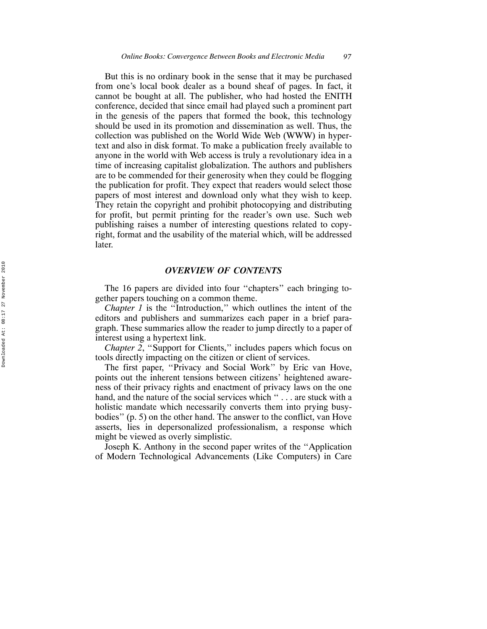But this is no ordinary book in the sense that it may be purchased from one's local book dealer as a bound sheaf of pages. In fact, it cannot be bought at all. The publisher, who had hosted the ENITH conference, decided that since email had played such a prominent part in the genesis of the papers that formed the book, this technology should be used in its promotion and dissemination as well. Thus, the collection was published on the World Wide Web (WWW) in hypertext and also in disk format. To make a publication freely available to anyone in the world with Web access is truly a revolutionary idea in a time of increasing capitalist globalization. The authors and publishers are to be commended for their generosity when they could be flogging the publication for profit. They expect that readers would select those papers of most interest and download only what they wish to keep. They retain the copyright and prohibit photocopying and distributing for profit, but permit printing for the reader's own use. Such web publishing raises a number of interesting questions related to copyright, format and the usability of the material which, will be addressed later.

## *OVERVIEW OF CONTENTS*

The 16 papers are divided into four ''chapters'' each bringing together papers touching on a common theme.

*Chapter 1* is the "Introduction," which outlines the intent of the editors and publishers and summarizes each paper in a brief paragraph. These summaries allow the reader to jump directly to a paper of interest using a hypertext link.

*Chapter 2, "Support for Clients," includes papers which focus on* tools directly impacting on the citizen or client of services.

The first paper, ''Privacy and Social Work'' by Eric van Hove, points out the inherent tensions between citizens' heightened awareness of their privacy rights and enactment of privacy laws on the one hand, and the nature of the social services which "... are stuck with a holistic mandate which necessarily converts them into prying busybodies'' (p. 5) on the other hand. The answer to the conflict, van Hove asserts, lies in depersonalized professionalism, a response which might be viewed as overly simplistic.

Joseph K. Anthony in the second paper writes of the ''Application of Modern Technological Advancements (Like Computers) in Care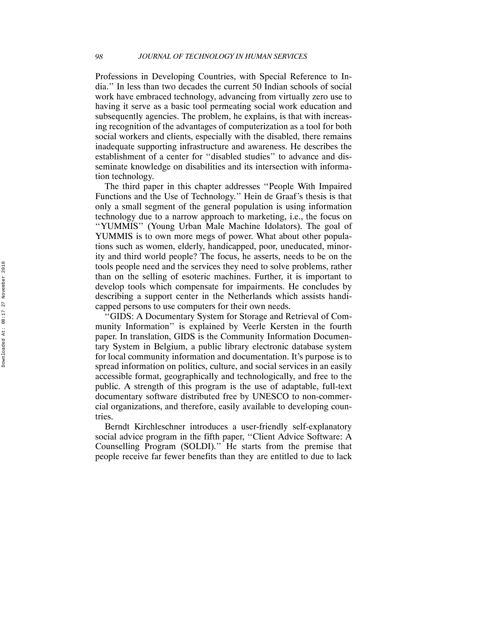Professions in Developing Countries, with Special Reference to India.'' In less than two decades the current 50 Indian schools of social work have embraced technology, advancing from virtually zero use to having it serve as a basic tool permeating social work education and subsequently agencies. The problem, he explains, is that with increasing recognition of the advantages of computerization as a tool for both social workers and clients, especially with the disabled, there remains inadequate supporting infrastructure and awareness. He describes the establishment of a center for ''disabled studies'' to advance and disseminate knowledge on disabilities and its intersection with information technology.

The third paper in this chapter addresses ''People With Impaired Functions and the Use of Technology.'' Hein de Graaf's thesis is that only a small segment of the general population is using information technology due to a narrow approach to marketing, i.e., the focus on ''YUMMIS'' (Young Urban Male Machine Idolators). The goal of YUMMIS is to own more megs of power. What about other populations such as women, elderly, handicapped, poor, uneducated, minority and third world people? The focus, he asserts, needs to be on the tools people need and the services they need to solve problems, rather than on the selling of esoteric machines. Further, it is important to develop tools which compensate for impairments. He concludes by describing a support center in the Netherlands which assists handicapped persons to use computers for their own needs.

''GIDS: A Documentary System for Storage and Retrieval of Community Information'' is explained by Veerle Kersten in the fourth paper. In translation, GIDS is the Community Information Documentary System in Belgium, a public library electronic database system for local community information and documentation. It's purpose is to spread information on politics, culture, and social services in an easily accessible format, geographically and technologically, and free to the public. A strength of this program is the use of adaptable, full-text documentary software distributed free by UNESCO to non-commercial organizations, and therefore, easily available to developing countries.

Berndt Kirchleschner introduces a user-friendly self-explanatory social advice program in the fifth paper, ''Client Advice Software: A Counselling Program (SOLDI).'' He starts from the premise that people receive far fewer benefits than they are entitled to due to lack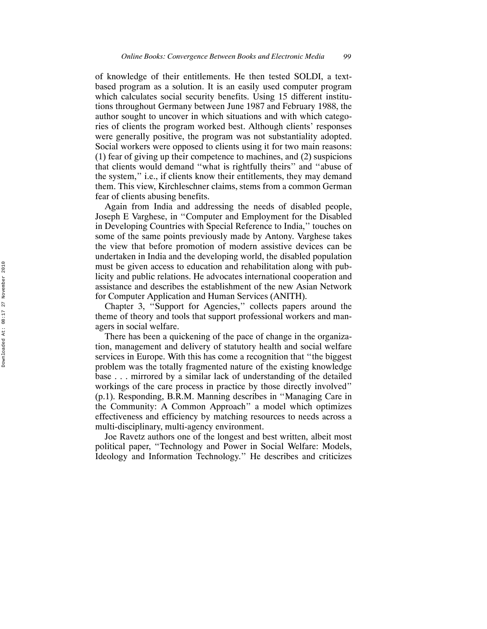of knowledge of their entitlements. He then tested SOLDI, a textbased program as a solution. It is an easily used computer program which calculates social security benefits. Using 15 different institutions throughout Germany between June 1987 and February 1988, the author sought to uncover in which situations and with which categories of clients the program worked best. Although clients' responses were generally positive, the program was not substantiality adopted. Social workers were opposed to clients using it for two main reasons: (1) fear of giving up their competence to machines, and (2) suspicions that clients would demand ''what is rightfully theirs'' and ''abuse of the system,'' i.e., if clients know their entitlements, they may demand them. This view, Kirchleschner claims, stems from a common German fear of clients abusing benefits.

Again from India and addressing the needs of disabled people, Joseph E Varghese, in ''Computer and Employment for the Disabled in Developing Countries with Special Reference to India,'' touches on some of the same points previously made by Antony. Varghese takes the view that before promotion of modern assistive devices can be undertaken in India and the developing world, the disabled population must be given access to education and rehabilitation along with publicity and public relations. He advocates international cooperation and assistance and describes the establishment of the new Asian Network for Computer Application and Human Services (ANITH).

Chapter 3, ''Support for Agencies,'' collects papers around the theme of theory and tools that support professional workers and managers in social welfare.

There has been a quickening of the pace of change in the organization, management and delivery of statutory health and social welfare services in Europe. With this has come a recognition that ''the biggest problem was the totally fragmented nature of the existing knowledge base . . . mirrored by a similar lack of understanding of the detailed workings of the care process in practice by those directly involved'' (p.1). Responding, B.R.M. Manning describes in ''Managing Care in the Community: A Common Approach'' a model which optimizes effectiveness and efficiency by matching resources to needs across a multi-disciplinary, multi-agency environment.

Joe Ravetz authors one of the longest and best written, albeit most political paper, ''Technology and Power in Social Welfare: Models, Ideology and Information Technology.'' He describes and criticizes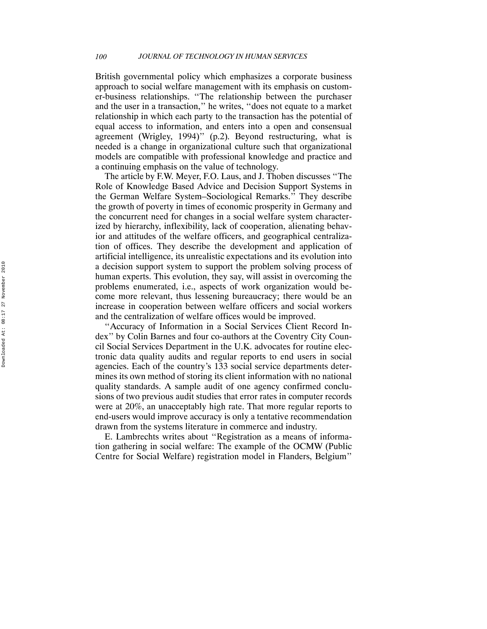British governmental policy which emphasizes a corporate business approach to social welfare management with its emphasis on customer-business relationships. ''The relationship between the purchaser and the user in a transaction,'' he writes, ''does not equate to a market relationship in which each party to the transaction has the potential of equal access to information, and enters into a open and consensual agreement (Wrigley, 1994)'' (p.2). Beyond restructuring, what is needed is a change in organizational culture such that organizational models are compatible with professional knowledge and practice and a continuing emphasis on the value of technology.

The article by F.W. Meyer, F.O. Laus, and J. Thoben discusses ''The Role of Knowledge Based Advice and Decision Support Systems in the German Welfare System–Sociological Remarks.'' They describe the growth of poverty in times of economic prosperity in Germany and the concurrent need for changes in a social welfare system characterized by hierarchy, inflexibility, lack of cooperation, alienating behavior and attitudes of the welfare officers, and geographical centralization of offices. They describe the development and application of artificial intelligence, its unrealistic expectations and its evolution into a decision support system to support the problem solving process of human experts. This evolution, they say, will assist in overcoming the problems enumerated, i.e., aspects of work organization would become more relevant, thus lessening bureaucracy; there would be an increase in cooperation between welfare officers and social workers and the centralization of welfare offices would be improved.

''Accuracy of Information in a Social Services Client Record Index'' by Colin Barnes and four co-authors at the Coventry City Council Social Services Department in the U.K. advocates for routine electronic data quality audits and regular reports to end users in social agencies. Each of the country's 133 social service departments determines its own method of storing its client information with no national quality standards. A sample audit of one agency confirmed conclusions of two previous audit studies that error rates in computer records were at 20%, an unacceptably high rate. That more regular reports to end-users would improve accuracy is only a tentative recommendation drawn from the systems literature in commerce and industry.

E. Lambrechts writes about ''Registration as a means of information gathering in social welfare: The example of the OCMW (Public Centre for Social Welfare) registration model in Flanders, Belgium''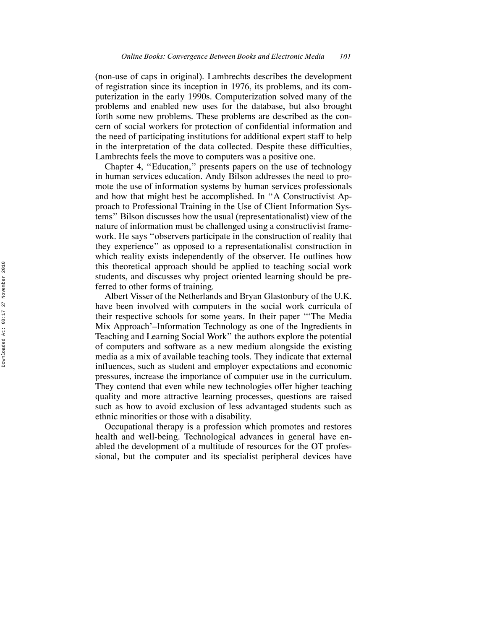(non-use of caps in original). Lambrechts describes the development of registration since its inception in 1976, its problems, and its computerization in the early 1990s. Computerization solved many of the problems and enabled new uses for the database, but also brought forth some new problems. These problems are described as the concern of social workers for protection of confidential information and the need of participating institutions for additional expert staff to help in the interpretation of the data collected. Despite these difficulties, Lambrechts feels the move to computers was a positive one.

Chapter 4, ''Education,'' presents papers on the use of technology in human services education. Andy Bilson addresses the need to promote the use of information systems by human services professionals and how that might best be accomplished. In ''A Constructivist Approach to Professional Training in the Use of Client Information Systems'' Bilson discusses how the usual (representationalist) view of the nature of information must be challenged using a constructivist framework. He says ''observers participate in the construction of reality that they experience'' as opposed to a representationalist construction in which reality exists independently of the observer. He outlines how this theoretical approach should be applied to teaching social work students, and discusses why project oriented learning should be preferred to other forms of training.

Albert Visser of the Netherlands and Bryan Glastonbury of the U.K. have been involved with computers in the social work curricula of their respective schools for some years. In their paper '''The Media Mix Approach'–Information Technology as one of the Ingredients in Teaching and Learning Social Work'' the authors explore the potential of computers and software as a new medium alongside the existing media as a mix of available teaching tools. They indicate that external influences, such as student and employer expectations and economic pressures, increase the importance of computer use in the curriculum. They contend that even while new technologies offer higher teaching quality and more attractive learning processes, questions are raised such as how to avoid exclusion of less advantaged students such as ethnic minorities or those with a disability.

Occupational therapy is a profession which promotes and restores health and well-being. Technological advances in general have enabled the development of a multitude of resources for the OT professional, but the computer and its specialist peripheral devices have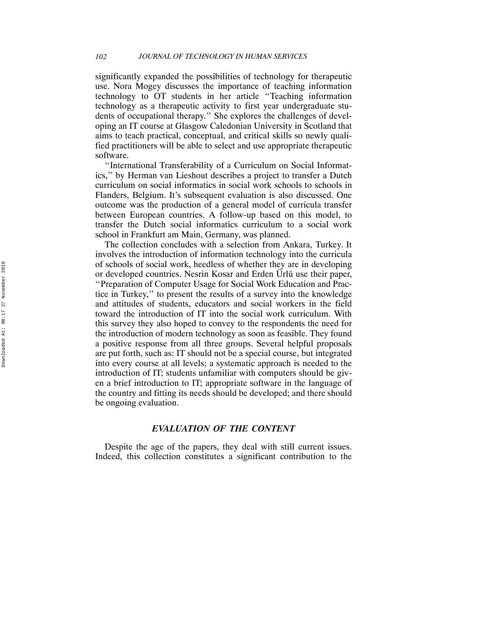significantly expanded the possibilities of technology for therapeutic use. Nora Mogey discusses the importance of teaching information technology to OT students in her article ''Teaching information technology as a therapeutic activity to first year undergraduate students of occupational therapy.'' She explores the challenges of developing an IT course at Glasgow Caledonian University in Scotland that aims to teach practical, conceptual, and critical skills so newly qualified practitioners will be able to select and use appropriate therapeutic software.

''International Transferability of a Curriculum on Social Informatics,'' by Herman van Lieshout describes a project to transfer a Dutch curriculum on social informatics in social work schools to schools in Flanders, Belgium. It's subsequent evaluation is also discussed. One outcome was the production of a general model of curricula transfer between European countries. A follow-up based on this model, to transfer the Dutch social informatics curriculum to a social work school in Frankfurt am Main, Germany, was planned.

The collection concludes with a selection from Ankara, Turkey. It involves the introduction of information technology into the curricula of schools of social work, heedless of whether they are in developing or developed countries. Nesrin Kosar and Erden Ürlü use their paper, ''Preparation of Computer Usage for Social Work Education and Practice in Turkey,'' to present the results of a survey into the knowledge and attitudes of students, educators and social workers in the field toward the introduction of IT into the social work curriculum. With this survey they also hoped to convey to the respondents the need for the introduction of modern technology as soon as feasible. They found a positive response from all three groups. Several helpful proposals are put forth, such as: IT should not be a special course, but integrated into every course at all levels; a systematic approach is needed to the introduction of IT; students unfamiliar with computers should be given a brief introduction to IT; appropriate software in the language of the country and fitting its needs should be developed; and there should be ongoing evaluation.

## *EVALUATION OF THE CONTENT*

Despite the age of the papers, they deal with still current issues. Indeed, this collection constitutes a significant contribution to the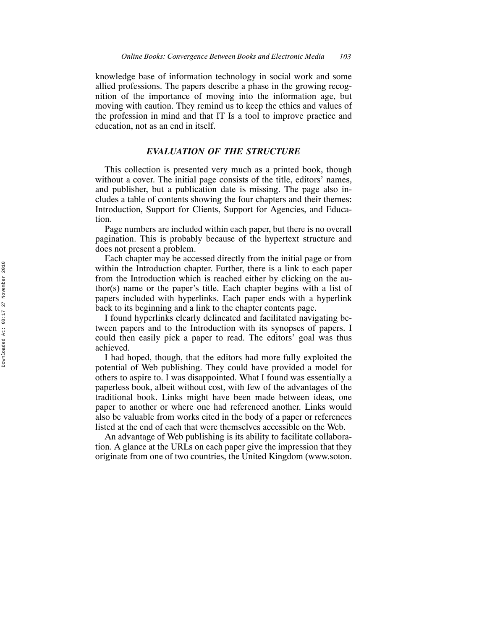knowledge base of information technology in social work and some allied professions. The papers describe a phase in the growing recognition of the importance of moving into the information age, but moving with caution. They remind us to keep the ethics and values of the profession in mind and that IT Is a tool to improve practice and education, not as an end in itself.

## *EVALUATION OF THE STRUCTURE*

This collection is presented very much as a printed book, though without a cover. The initial page consists of the title, editors' names, and publisher, but a publication date is missing. The page also includes a table of contents showing the four chapters and their themes: Introduction, Support for Clients, Support for Agencies, and Education.

Page numbers are included within each paper, but there is no overall pagination. This is probably because of the hypertext structure and does not present a problem.

Each chapter may be accessed directly from the initial page or from within the Introduction chapter. Further, there is a link to each paper from the Introduction which is reached either by clicking on the author(s) name or the paper's title. Each chapter begins with a list of papers included with hyperlinks. Each paper ends with a hyperlink back to its beginning and a link to the chapter contents page.

I found hyperlinks clearly delineated and facilitated navigating between papers and to the Introduction with its synopses of papers. I could then easily pick a paper to read. The editors' goal was thus achieved.

I had hoped, though, that the editors had more fully exploited the potential of Web publishing. They could have provided a model for others to aspire to. I was disappointed. What I found was essentially a paperless book, albeit without cost, with few of the advantages of the traditional book. Links might have been made between ideas, one paper to another or where one had referenced another. Links would also be valuable from works cited in the body of a paper or references listed at the end of each that were themselves accessible on the Web.

An advantage of Web publishing is its ability to facilitate collaboration. A glance at the URLs on each paper give the impression that they originate from one of two countries, the United Kingdom (www.soton.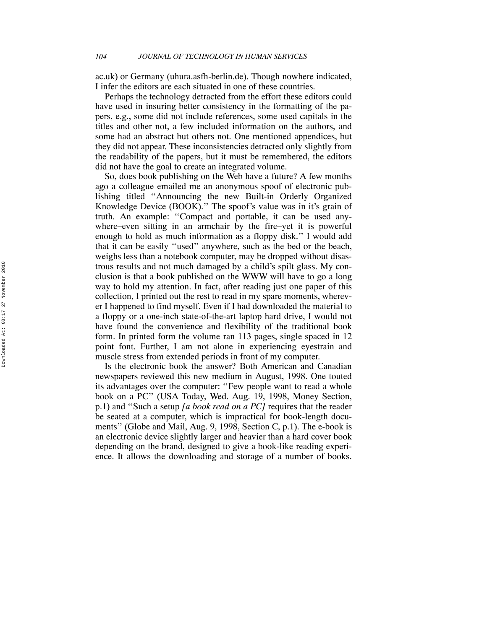ac.uk) or Germany (uhura.asfh-berlin.de). Though nowhere indicated, I infer the editors are each situated in one of these countries.

Perhaps the technology detracted from the effort these editors could have used in insuring better consistency in the formatting of the papers, e.g., some did not include references, some used capitals in the titles and other not, a few included information on the authors, and some had an abstract but others not. One mentioned appendices, but they did not appear. These inconsistencies detracted only slightly from the readability of the papers, but it must be remembered, the editors did not have the goal to create an integrated volume.

So, does book publishing on the Web have a future? A few months ago a colleague emailed me an anonymous spoof of electronic publishing titled ''Announcing the new Built-in Orderly Organized Knowledge Device (BOOK).'' The spoof's value was in it's grain of truth. An example: ''Compact and portable, it can be used anywhere–even sitting in an armchair by the fire–yet it is powerful enough to hold as much information as a floppy disk.'' I would add that it can be easily ''used'' anywhere, such as the bed or the beach, weighs less than a notebook computer, may be dropped without disastrous results and not much damaged by a child's spilt glass. My conclusion is that a book published on the WWW will have to go a long way to hold my attention. In fact, after reading just one paper of this collection, I printed out the rest to read in my spare moments, wherever I happened to find myself. Even if I had downloaded the material to a floppy or a one-inch state-of-the-art laptop hard drive, I would not have found the convenience and flexibility of the traditional book form. In printed form the volume ran 113 pages, single spaced in 12 point font. Further, I am not alone in experiencing eyestrain and muscle stress from extended periods in front of my computer.

Is the electronic book the answer? Both American and Canadian newspapers reviewed this new medium in August, 1998. One touted its advantages over the computer: ''Few people want to read a whole book on a PC'' (USA Today, Wed. Aug. 19, 1998, Money Section, p.1) and ''Such a setup *[a book read on a PC]* requires that the reader be seated at a computer, which is impractical for book-length documents'' (Globe and Mail, Aug. 9, 1998, Section C, p.1). The e-book is an electronic device slightly larger and heavier than a hard cover book depending on the brand, designed to give a book-like reading experience. It allows the downloading and storage of a number of books.